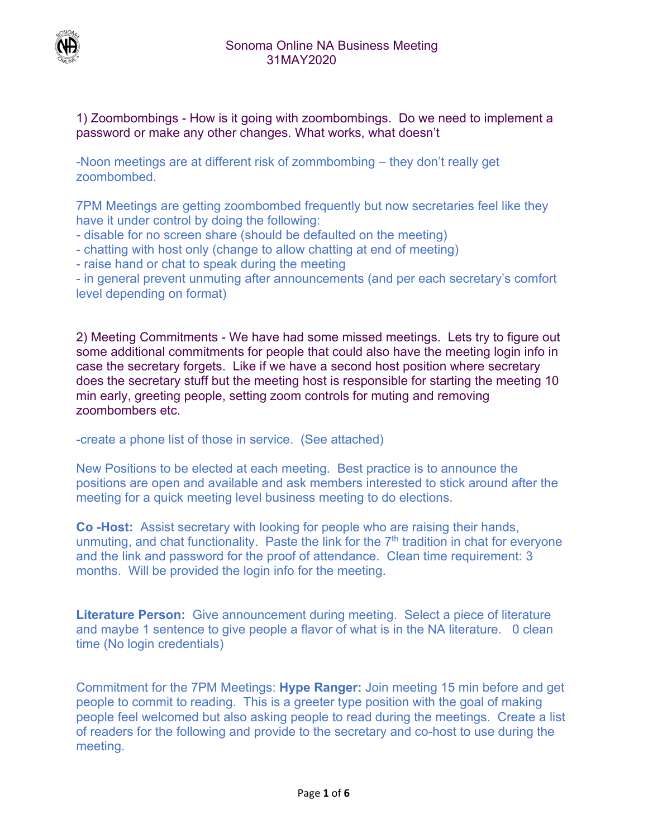

1) Zoombombings - How is it going with zoombombings. Do we need to implement a password or make any other changes. What works, what doesn't

-Noon meetings are at different risk of zommbombing – they don't really get zoombombed.

7PM Meetings are getting zoombombed frequently but now secretaries feel like they have it under control by doing the following:

- disable for no screen share (should be defaulted on the meeting)
- chatting with host only (change to allow chatting at end of meeting)
- raise hand or chat to speak during the meeting

- in general prevent unmuting after announcements (and per each secretary's comfort level depending on format)

2) Meeting Commitments - We have had some missed meetings. Lets try to figure out some additional commitments for people that could also have the meeting login info in case the secretary forgets. Like if we have a second host position where secretary does the secretary stuff but the meeting host is responsible for starting the meeting 10 min early, greeting people, setting zoom controls for muting and removing zoombombers etc.

-create a phone list of those in service. (See attached)

New Positions to be elected at each meeting. Best practice is to announce the positions are open and available and ask members interested to stick around after the meeting for a quick meeting level business meeting to do elections.

**Co -Host:** Assist secretary with looking for people who are raising their hands, unmuting, and chat functionality. Paste the link for the  $7<sup>th</sup>$  tradition in chat for everyone and the link and password for the proof of attendance. Clean time requirement: 3 months. Will be provided the login info for the meeting.

**Literature Person:** Give announcement during meeting. Select a piece of literature and maybe 1 sentence to give people a flavor of what is in the NA literature. 0 clean time (No login credentials)

Commitment for the 7PM Meetings: **Hype Ranger:** Join meeting 15 min before and get people to commit to reading. This is a greeter type position with the goal of making people feel welcomed but also asking people to read during the meetings. Create a list of readers for the following and provide to the secretary and co-host to use during the meeting.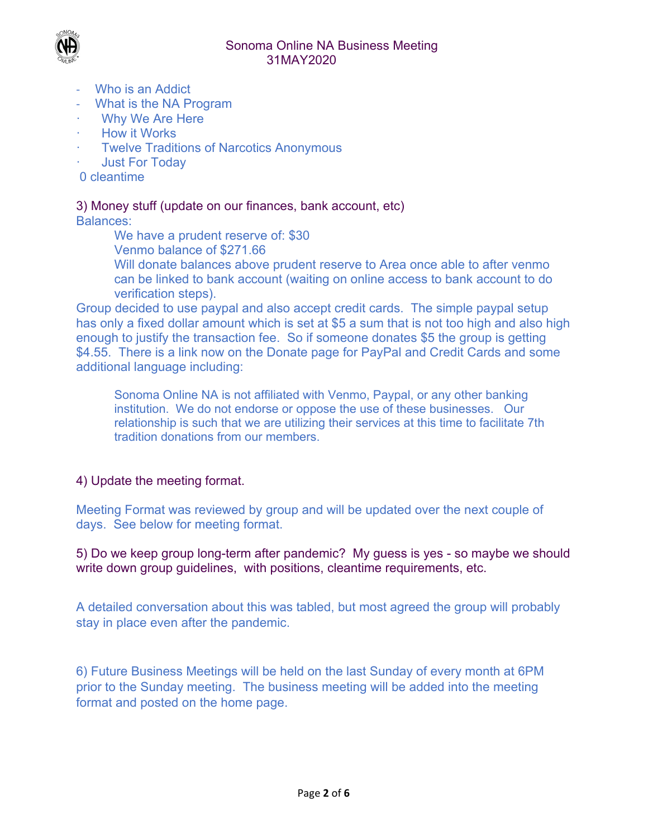



- ‐ Who is an Addict
- ‐ What is the NA Program
- ꞏ Why We Are Here
- ꞏ How it Works
- **Twelve Traditions of Narcotics Anonymous**
- ꞏ Just For Today
- 0 cleantime

# 3) Money stuff (update on our finances, bank account, etc)

Balances:

We have a prudent reserve of: \$30

Venmo balance of \$271.66

Will donate balances above prudent reserve to Area once able to after venmo can be linked to bank account (waiting on online access to bank account to do verification steps).

Group decided to use paypal and also accept credit cards. The simple paypal setup has only a fixed dollar amount which is set at \$5 a sum that is not too high and also high enough to justify the transaction fee. So if someone donates \$5 the group is getting \$4.55. There is a link now on the Donate page for PayPal and Credit Cards and some additional language including:

Sonoma Online NA is not affiliated with Venmo, Paypal, or any other banking institution. We do not endorse or oppose the use of these businesses. Our relationship is such that we are utilizing their services at this time to facilitate 7th tradition donations from our members.

# 4) Update the meeting format.

Meeting Format was reviewed by group and will be updated over the next couple of days. See below for meeting format.

5) Do we keep group long-term after pandemic? My guess is yes - so maybe we should write down group guidelines, with positions, cleantime requirements, etc.

A detailed conversation about this was tabled, but most agreed the group will probably stay in place even after the pandemic.

6) Future Business Meetings will be held on the last Sunday of every month at 6PM prior to the Sunday meeting. The business meeting will be added into the meeting format and posted on the home page.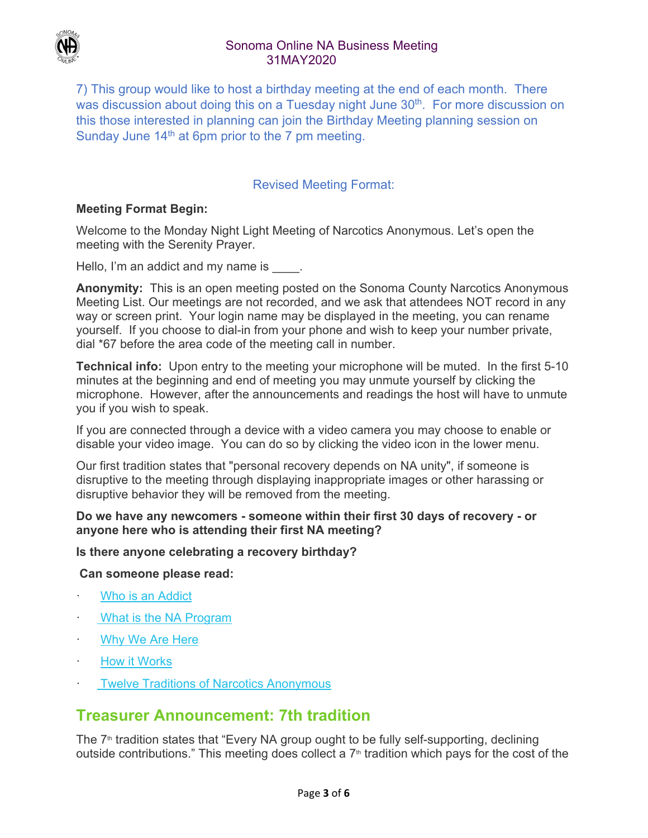

# Sonoma Online NA Business Meeting 31MAY2020

7) This group would like to host a birthday meeting at the end of each month. There was discussion about doing this on a Tuesday night June 30<sup>th</sup>. For more discussion on this those interested in planning can join the Birthday Meeting planning session on Sunday June  $14<sup>th</sup>$  at 6pm prior to the 7 pm meeting.

# Revised Meeting Format:

# **Meeting Format Begin:**

Welcome to the Monday Night Light Meeting of Narcotics Anonymous. Let's open the meeting with the Serenity Prayer.

Hello, I'm an addict and my name is  $\qquad \qquad$ .

**Anonymity:** This is an open meeting posted on the Sonoma County Narcotics Anonymous Meeting List. Our meetings are not recorded, and we ask that attendees NOT record in any way or screen print. Your login name may be displayed in the meeting, you can rename yourself. If you choose to dial-in from your phone and wish to keep your number private, dial \*67 before the area code of the meeting call in number.

**Technical info:** Upon entry to the meeting your microphone will be muted. In the first 5-10 minutes at the beginning and end of meeting you may unmute yourself by clicking the microphone. However, after the announcements and readings the host will have to unmute you if you wish to speak.

If you are connected through a device with a video camera you may choose to enable or disable your video image. You can do so by clicking the video icon in the lower menu.

Our first tradition states that "personal recovery depends on NA unity", if someone is disruptive to the meeting through displaying inappropriate images or other harassing or disruptive behavior they will be removed from the meeting.

## **Do we have any newcomers - someone within their first 30 days of recovery - or anyone here who is attending their first NA meeting?**

## **Is there anyone celebrating a recovery birthday?**

 **Can someone please read:**

- Who is an Addict
- What is the NA Program
- Why We Are Here
- How it Works
- **Twelve Traditions of Narcotics Anonymous**

# **Treasurer Announcement: 7th tradition**

The  $7<sup>th</sup>$  tradition states that "Every NA group ought to be fully self-supporting, declining outside contributions." This meeting does collect a  $7<sup>th</sup>$  tradition which pays for the cost of the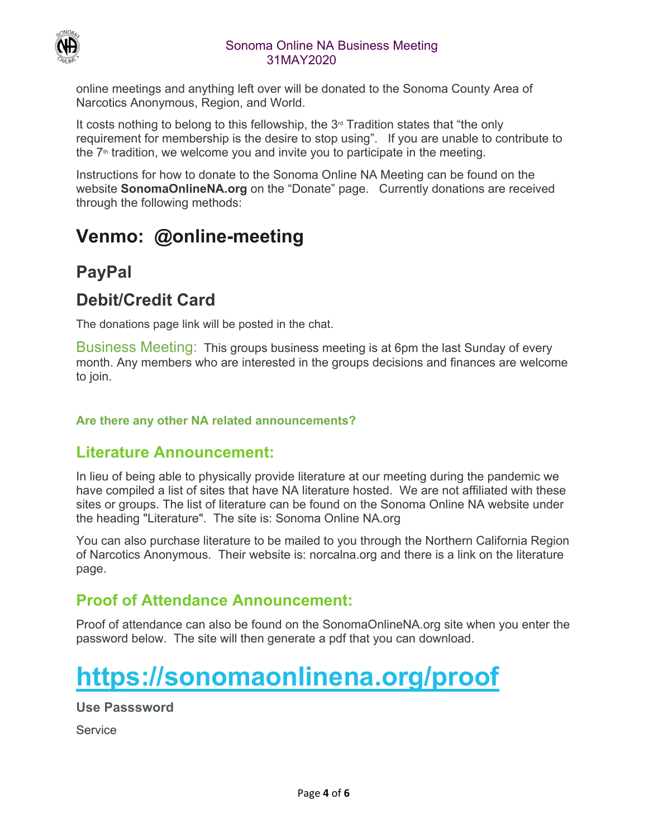

# Sonoma Online NA Business Meeting 31MAY2020

online meetings and anything left over will be donated to the Sonoma County Area of Narcotics Anonymous, Region, and World.

It costs nothing to belong to this fellowship, the  $3<sup>d</sup>$  Tradition states that "the only requirement for membership is the desire to stop using". If you are unable to contribute to the  $7<sup>th</sup>$  tradition, we welcome you and invite you to participate in the meeting.

Instructions for how to donate to the Sonoma Online NA Meeting can be found on the website **SonomaOnlineNA.org** on the "Donate" page. Currently donations are received through the following methods:

# **Venmo: @online-meeting**

# **PayPal**

# **Debit/Credit Card**

The donations page link will be posted in the chat.

Business Meeting: This groups business meeting is at 6pm the last Sunday of every month. Any members who are interested in the groups decisions and finances are welcome to join.

# **Are there any other NA related announcements?**

# **Literature Announcement:**

In lieu of being able to physically provide literature at our meeting during the pandemic we have compiled a list of sites that have NA literature hosted. We are not affiliated with these sites or groups. The list of literature can be found on the Sonoma Online NA website under the heading "Literature". The site is: Sonoma Online NA.org

You can also purchase literature to be mailed to you through the Northern California Region of Narcotics Anonymous. Their website is: norcalna.org and there is a link on the literature page.

# **Proof of Attendance Announcement:**

Proof of attendance can also be found on the SonomaOnlineNA.org site when you enter the password below. The site will then generate a pdf that you can download.

# **https://sonomaonlinena.org/proof**

**Use Passsword** 

**Service**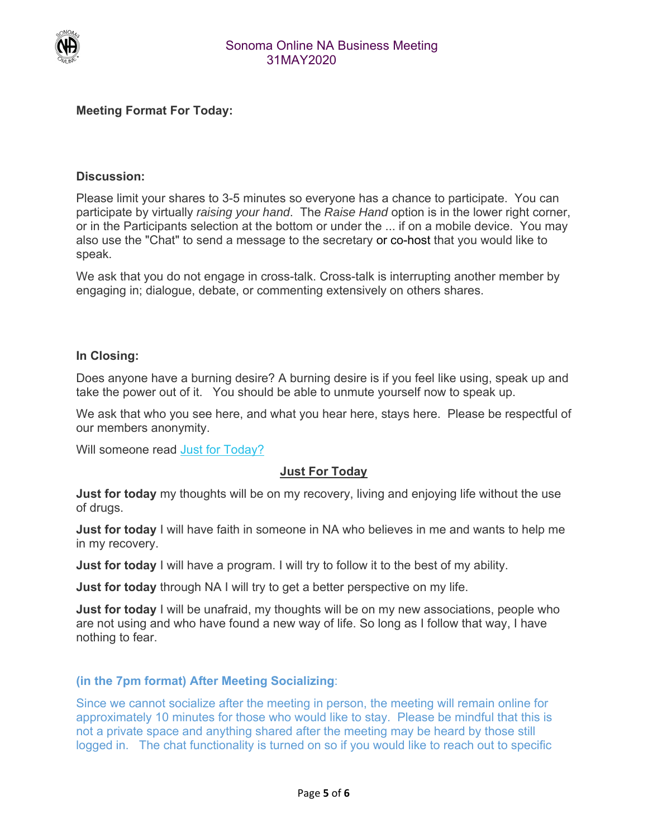

# **Meeting Format For Today:**

## **Discussion:**

Please limit your shares to 3-5 minutes so everyone has a chance to participate. You can participate by virtually *raising your hand*. The *Raise Hand* option is in the lower right corner, or in the Participants selection at the bottom or under the ... if on a mobile device. You may also use the "Chat" to send a message to the secretary or co-host that you would like to speak.

We ask that you do not engage in cross-talk. Cross-talk is interrupting another member by engaging in; dialogue, debate, or commenting extensively on others shares.

#### **In Closing:**

Does anyone have a burning desire? A burning desire is if you feel like using, speak up and take the power out of it. You should be able to unmute yourself now to speak up.

We ask that who you see here, and what you hear here, stays here. Please be respectful of our members anonymity.

Will someone read Just for Today?

## **Just For Today**

**Just for today** my thoughts will be on my recovery, living and enjoying life without the use of drugs.

**Just for today** I will have faith in someone in NA who believes in me and wants to help me in my recovery.

**Just for today** I will have a program. I will try to follow it to the best of my ability.

**Just for today** through NA I will try to get a better perspective on my life.

**Just for today** I will be unafraid, my thoughts will be on my new associations, people who are not using and who have found a new way of life. So long as I follow that way, I have nothing to fear.

#### **(in the 7pm format) After Meeting Socializing**:

Since we cannot socialize after the meeting in person, the meeting will remain online for approximately 10 minutes for those who would like to stay. Please be mindful that this is not a private space and anything shared after the meeting may be heard by those still logged in. The chat functionality is turned on so if you would like to reach out to specific